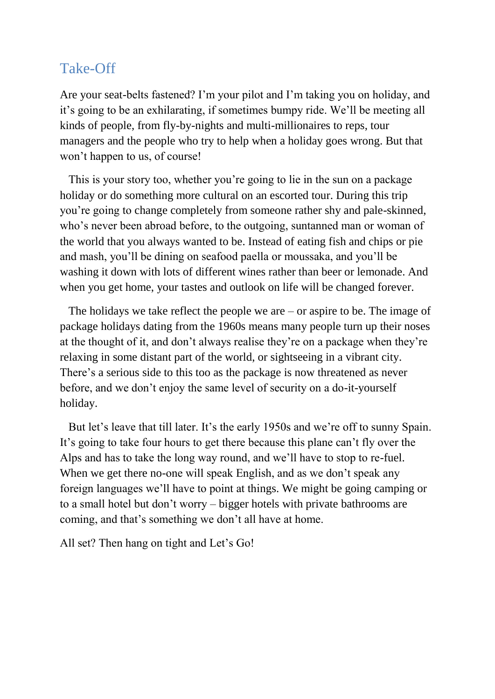# Take-Off

Are your seat-belts fastened? I'm your pilot and I'm taking you on holiday, and it's going to be an exhilarating, if sometimes bumpy ride. We'll be meeting all kinds of people, from fly-by-nights and multi-millionaires to reps, tour managers and the people who try to help when a holiday goes wrong. But that won't happen to us, of course!

 This is your story too, whether you're going to lie in the sun on a package holiday or do something more cultural on an escorted tour. During this trip you're going to change completely from someone rather shy and pale-skinned, who's never been abroad before, to the outgoing, suntanned man or woman of the world that you always wanted to be. Instead of eating fish and chips or pie and mash, you'll be dining on seafood paella or moussaka, and you'll be washing it down with lots of different wines rather than beer or lemonade. And when you get home, your tastes and outlook on life will be changed forever.

The holidays we take reflect the people we are  $-$  or aspire to be. The image of package holidays dating from the 1960s means many people turn up their noses at the thought of it, and don't always realise they're on a package when they're relaxing in some distant part of the world, or sightseeing in a vibrant city. There's a serious side to this too as the package is now threatened as never before, and we don't enjoy the same level of security on a do-it-yourself holiday.

 But let's leave that till later. It's the early 1950s and we're off to sunny Spain. It's going to take four hours to get there because this plane can't fly over the Alps and has to take the long way round, and we'll have to stop to re-fuel. When we get there no-one will speak English, and as we don't speak any foreign languages we'll have to point at things. We might be going camping or to a small hotel but don't worry – bigger hotels with private bathrooms are coming, and that's something we don't all have at home.

All set? Then hang on tight and Let's Go!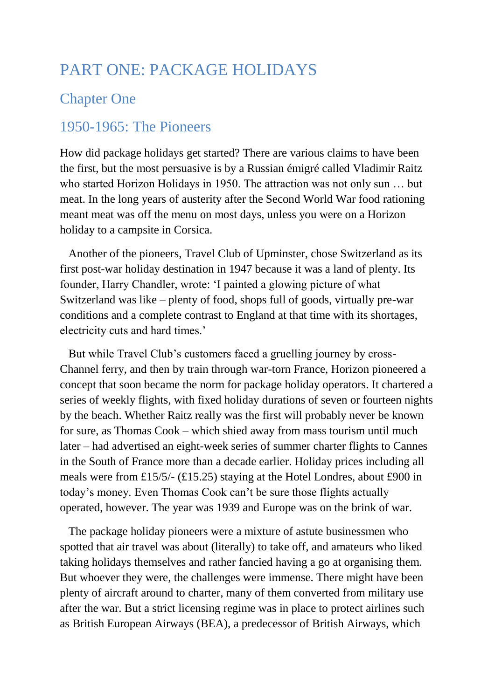# PART ONE: PACKAGE HOLIDAYS

# Chapter One

# 1950-1965: The Pioneers

How did package holidays get started? There are various claims to have been the first, but the most persuasive is by a Russian émigré called Vladimir Raitz who started Horizon Holidays in 1950. The attraction was not only sun … but meat. In the long years of austerity after the Second World War food rationing meant meat was off the menu on most days, unless you were on a Horizon holiday to a campsite in Corsica.

 Another of the pioneers, Travel Club of Upminster, chose Switzerland as its first post-war holiday destination in 1947 because it was a land of plenty. Its founder, Harry Chandler, wrote: 'I painted a glowing picture of what Switzerland was like – plenty of food, shops full of goods, virtually pre-war conditions and a complete contrast to England at that time with its shortages, electricity cuts and hard times.'

 But while Travel Club's customers faced a gruelling journey by cross-Channel ferry, and then by train through war-torn France, Horizon pioneered a concept that soon became the norm for package holiday operators. It chartered a series of weekly flights, with fixed holiday durations of seven or fourteen nights by the beach. Whether Raitz really was the first will probably never be known for sure, as Thomas Cook – which shied away from mass tourism until much later – had advertised an eight-week series of summer charter flights to Cannes in the South of France more than a decade earlier. Holiday prices including all meals were from £15/5/- (£15.25) staying at the Hotel Londres, about £900 in today's money. Even Thomas Cook can't be sure those flights actually operated, however. The year was 1939 and Europe was on the brink of war.

 The package holiday pioneers were a mixture of astute businessmen who spotted that air travel was about (literally) to take off, and amateurs who liked taking holidays themselves and rather fancied having a go at organising them. But whoever they were, the challenges were immense. There might have been plenty of aircraft around to charter, many of them converted from military use after the war. But a strict licensing regime was in place to protect airlines such as British European Airways (BEA), a predecessor of British Airways, which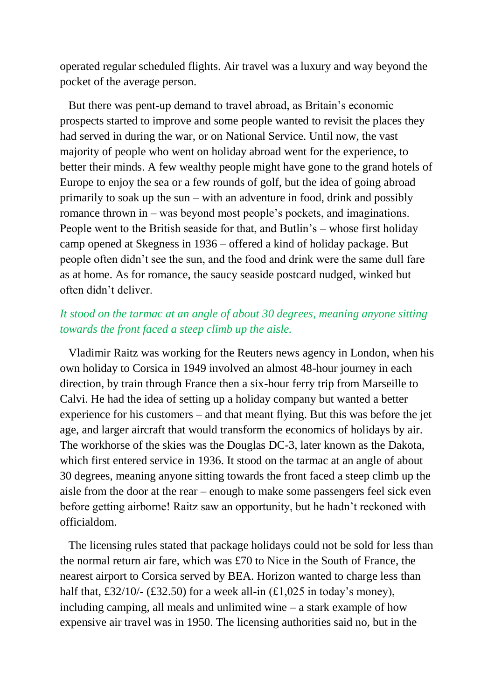operated regular scheduled flights. Air travel was a luxury and way beyond the pocket of the average person.

 But there was pent-up demand to travel abroad, as Britain's economic prospects started to improve and some people wanted to revisit the places they had served in during the war, or on National Service. Until now, the vast majority of people who went on holiday abroad went for the experience, to better their minds. A few wealthy people might have gone to the grand hotels of Europe to enjoy the sea or a few rounds of golf, but the idea of going abroad primarily to soak up the sun – with an adventure in food, drink and possibly romance thrown in – was beyond most people's pockets, and imaginations. People went to the British seaside for that, and Butlin's – whose first holiday camp opened at Skegness in 1936 – offered a kind of holiday package. But people often didn't see the sun, and the food and drink were the same dull fare as at home. As for romance, the saucy seaside postcard nudged, winked but often didn't deliver.

### *It stood on the tarmac at an angle of about 30 degrees, meaning anyone sitting towards the front faced a steep climb up the aisle.*

 Vladimir Raitz was working for the Reuters news agency in London, when his own holiday to Corsica in 1949 involved an almost 48-hour journey in each direction, by train through France then a six-hour ferry trip from Marseille to Calvi. He had the idea of setting up a holiday company but wanted a better experience for his customers – and that meant flying. But this was before the jet age, and larger aircraft that would transform the economics of holidays by air. The workhorse of the skies was the Douglas DC-3, later known as the Dakota, which first entered service in 1936. It stood on the tarmac at an angle of about 30 degrees, meaning anyone sitting towards the front faced a steep climb up the aisle from the door at the rear – enough to make some passengers feel sick even before getting airborne! Raitz saw an opportunity, but he hadn't reckoned with officialdom.

 The licensing rules stated that package holidays could not be sold for less than the normal return air fare, which was £70 to Nice in the South of France, the nearest airport to Corsica served by BEA. Horizon wanted to charge less than half that, £32/10/- (£32.50) for a week all-in  $(£1,025)$  in today's money), including camping, all meals and unlimited wine – a stark example of how expensive air travel was in 1950. The licensing authorities said no, but in the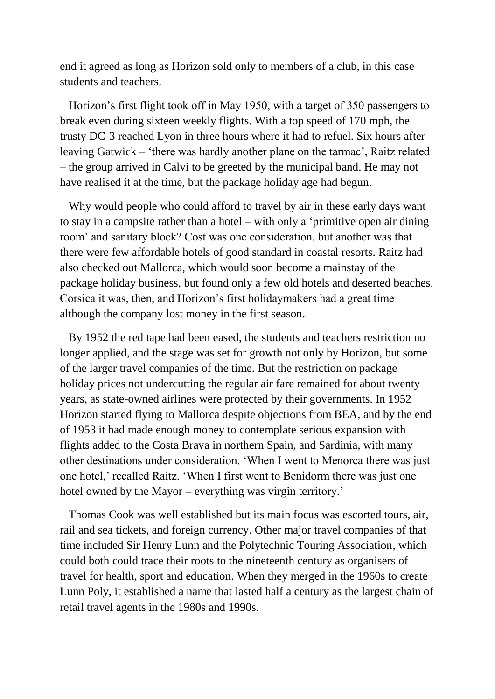end it agreed as long as Horizon sold only to members of a club, in this case students and teachers.

 Horizon's first flight took off in May 1950, with a target of 350 passengers to break even during sixteen weekly flights. With a top speed of 170 mph, the trusty DC-3 reached Lyon in three hours where it had to refuel. Six hours after leaving Gatwick – 'there was hardly another plane on the tarmac', Raitz related – the group arrived in Calvi to be greeted by the municipal band. He may not have realised it at the time, but the package holiday age had begun.

 Why would people who could afford to travel by air in these early days want to stay in a campsite rather than a hotel – with only a 'primitive open air dining room' and sanitary block? Cost was one consideration, but another was that there were few affordable hotels of good standard in coastal resorts. Raitz had also checked out Mallorca, which would soon become a mainstay of the package holiday business, but found only a few old hotels and deserted beaches. Corsica it was, then, and Horizon's first holidaymakers had a great time although the company lost money in the first season.

 By 1952 the red tape had been eased, the students and teachers restriction no longer applied, and the stage was set for growth not only by Horizon, but some of the larger travel companies of the time. But the restriction on package holiday prices not undercutting the regular air fare remained for about twenty years, as state-owned airlines were protected by their governments. In 1952 Horizon started flying to Mallorca despite objections from BEA, and by the end of 1953 it had made enough money to contemplate serious expansion with flights added to the Costa Brava in northern Spain, and Sardinia, with many other destinations under consideration. 'When I went to Menorca there was just one hotel,' recalled Raitz. 'When I first went to Benidorm there was just one hotel owned by the Mayor – everything was virgin territory.'

 Thomas Cook was well established but its main focus was escorted tours, air, rail and sea tickets, and foreign currency. Other major travel companies of that time included Sir Henry Lunn and the Polytechnic Touring Association, which could both could trace their roots to the nineteenth century as organisers of travel for health, sport and education. When they merged in the 1960s to create Lunn Poly, it established a name that lasted half a century as the largest chain of retail travel agents in the 1980s and 1990s.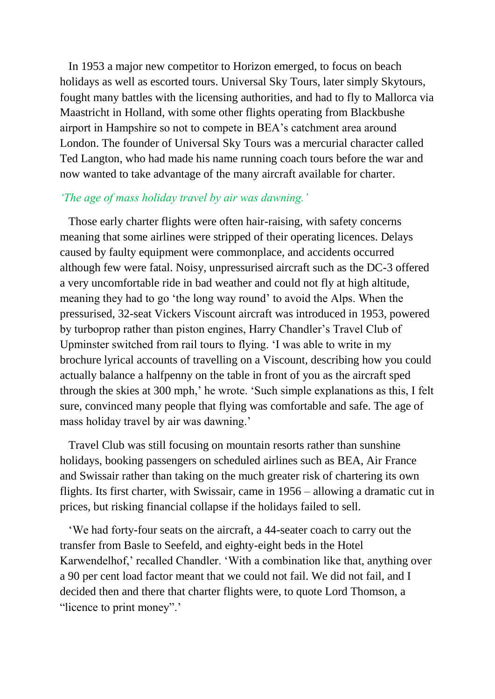In 1953 a major new competitor to Horizon emerged, to focus on beach holidays as well as escorted tours. Universal Sky Tours, later simply Skytours, fought many battles with the licensing authorities, and had to fly to Mallorca via Maastricht in Holland, with some other flights operating from Blackbushe airport in Hampshire so not to compete in BEA's catchment area around London. The founder of Universal Sky Tours was a mercurial character called Ted Langton, who had made his name running coach tours before the war and now wanted to take advantage of the many aircraft available for charter.

#### *'The age of mass holiday travel by air was dawning.'*

 Those early charter flights were often hair-raising, with safety concerns meaning that some airlines were stripped of their operating licences. Delays caused by faulty equipment were commonplace, and accidents occurred although few were fatal. Noisy, unpressurised aircraft such as the DC-3 offered a very uncomfortable ride in bad weather and could not fly at high altitude, meaning they had to go 'the long way round' to avoid the Alps. When the pressurised, 32-seat Vickers Viscount aircraft was introduced in 1953, powered by turboprop rather than piston engines, Harry Chandler's Travel Club of Upminster switched from rail tours to flying. 'I was able to write in my brochure lyrical accounts of travelling on a Viscount, describing how you could actually balance a halfpenny on the table in front of you as the aircraft sped through the skies at 300 mph,' he wrote. 'Such simple explanations as this, I felt sure, convinced many people that flying was comfortable and safe. The age of mass holiday travel by air was dawning.'

 Travel Club was still focusing on mountain resorts rather than sunshine holidays, booking passengers on scheduled airlines such as BEA, Air France and Swissair rather than taking on the much greater risk of chartering its own flights. Its first charter, with Swissair, came in 1956 – allowing a dramatic cut in prices, but risking financial collapse if the holidays failed to sell.

 'We had forty-four seats on the aircraft, a 44-seater coach to carry out the transfer from Basle to Seefeld, and eighty-eight beds in the Hotel Karwendelhof,' recalled Chandler. 'With a combination like that, anything over a 90 per cent load factor meant that we could not fail. We did not fail, and I decided then and there that charter flights were, to quote Lord Thomson, a "licence to print money".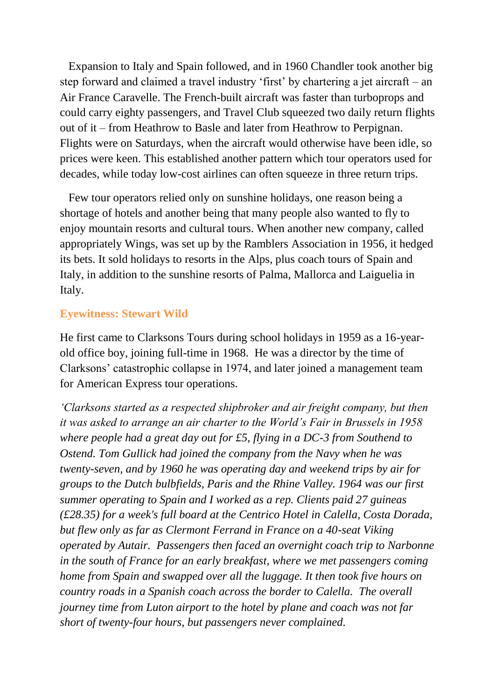Expansion to Italy and Spain followed, and in 1960 Chandler took another big step forward and claimed a travel industry 'first' by chartering a jet aircraft – an Air France Caravelle. The French-built aircraft was faster than turboprops and could carry eighty passengers, and Travel Club squeezed two daily return flights out of it – from Heathrow to Basle and later from Heathrow to Perpignan. Flights were on Saturdays, when the aircraft would otherwise have been idle, so prices were keen. This established another pattern which tour operators used for decades, while today low-cost airlines can often squeeze in three return trips.

 Few tour operators relied only on sunshine holidays, one reason being a shortage of hotels and another being that many people also wanted to fly to enjoy mountain resorts and cultural tours. When another new company, called appropriately Wings, was set up by the Ramblers Association in 1956, it hedged its bets. It sold holidays to resorts in the Alps, plus coach tours of Spain and Italy, in addition to the sunshine resorts of Palma, Mallorca and Laiguelia in Italy.

#### **Eyewitness: Stewart Wild**

He first came to Clarksons Tours during school holidays in 1959 as a 16-yearold office boy, joining full-time in 1968. He was a director by the time of Clarksons' catastrophic collapse in 1974, and later joined a management team for American Express tour operations.

*'Clarksons started as a respected shipbroker and air freight company, but then it was asked to arrange an air charter to the World's Fair in Brussels in 1958 where people had a great day out for £5, flying in a DC-3 from Southend to Ostend. Tom Gullick had joined the company from the Navy when he was twenty-seven, and by 1960 he was operating day and weekend trips by air for groups to the Dutch bulbfields, Paris and the Rhine Valley. 1964 was our first summer operating to Spain and I worked as a rep. Clients paid 27 guineas (£28.35) for a week's full board at the Centrico Hotel in Calella, Costa Dorada, but flew only as far as Clermont Ferrand in France on a 40-seat Viking operated by Autair. Passengers then faced an overnight coach trip to Narbonne in the south of France for an early breakfast, where we met passengers coming home from Spain and swapped over all the luggage. It then took five hours on country roads in a Spanish coach across the border to Calella. The overall journey time from Luton airport to the hotel by plane and coach was not far short of twenty-four hours, but passengers never complained.*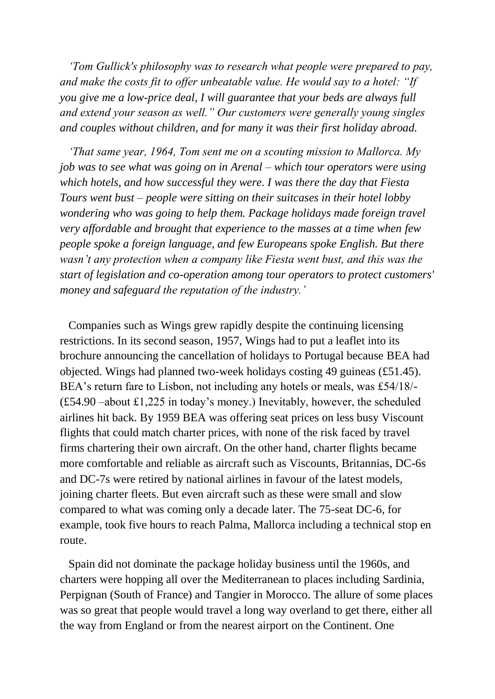*'Tom Gullick's philosophy was to research what people were prepared to pay, and make the costs fit to offer unbeatable value. He would say to a hotel: "If you give me a low-price deal, I will guarantee that your beds are always full and extend your season as well." Our customers were generally young singles and couples without children, and for many it was their first holiday abroad.*

 *'That same year, 1964, Tom sent me on a scouting mission to Mallorca. My job was to see what was going on in Arenal – which tour operators were using which hotels, and how successful they were. I was there the day that Fiesta Tours went bust – people were sitting on their suitcases in their hotel lobby wondering who was going to help them. Package holidays made foreign travel very affordable and brought that experience to the masses at a time when few people spoke a foreign language, and few Europeans spoke English. But there wasn't any protection when a company like Fiesta went bust, and this was the start of legislation and co-operation among tour operators to protect customers' money and safeguard the reputation of the industry.'*

 Companies such as Wings grew rapidly despite the continuing licensing restrictions. In its second season, 1957, Wings had to put a leaflet into its brochure announcing the cancellation of holidays to Portugal because BEA had objected. Wings had planned two-week holidays costing 49 guineas (£51.45). BEA's return fare to Lisbon, not including any hotels or meals, was £54/18/- (£54.90 –about £1,225 in today's money.) Inevitably, however, the scheduled airlines hit back. By 1959 BEA was offering seat prices on less busy Viscount flights that could match charter prices, with none of the risk faced by travel firms chartering their own aircraft. On the other hand, charter flights became more comfortable and reliable as aircraft such as Viscounts, Britannias, DC-6s and DC-7s were retired by national airlines in favour of the latest models, joining charter fleets. But even aircraft such as these were small and slow compared to what was coming only a decade later. The 75-seat DC-6, for example, took five hours to reach Palma, Mallorca including a technical stop en route.

 Spain did not dominate the package holiday business until the 1960s, and charters were hopping all over the Mediterranean to places including Sardinia, Perpignan (South of France) and Tangier in Morocco. The allure of some places was so great that people would travel a long way overland to get there, either all the way from England or from the nearest airport on the Continent. One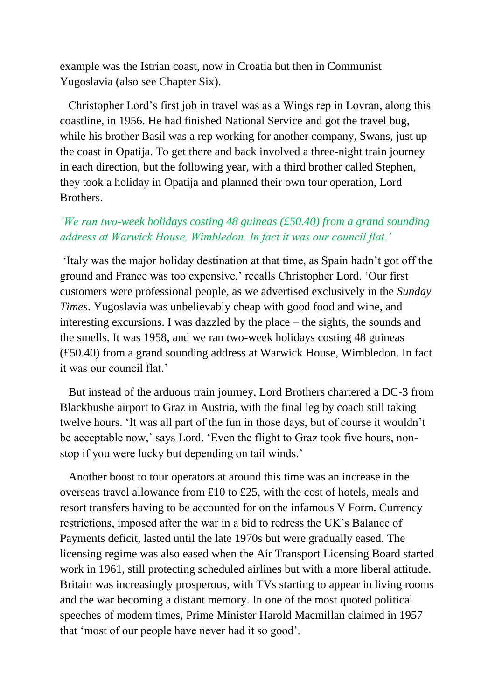example was the Istrian coast, now in Croatia but then in Communist Yugoslavia (also see Chapter Six).

 Christopher Lord's first job in travel was as a Wings rep in Lovran, along this coastline, in 1956. He had finished National Service and got the travel bug, while his brother Basil was a rep working for another company, Swans, just up the coast in Opatija. To get there and back involved a three-night train journey in each direction, but the following year, with a third brother called Stephen, they took a holiday in Opatija and planned their own tour operation, Lord Brothers.

### *'We ran two-week holidays costing 48 guineas (£50.40) from a grand sounding address at Warwick House, Wimbledon. In fact it was our council flat.'*

'Italy was the major holiday destination at that time, as Spain hadn't got off the ground and France was too expensive,' recalls Christopher Lord. 'Our first customers were professional people, as we advertised exclusively in the *Sunday Times*. Yugoslavia was unbelievably cheap with good food and wine, and interesting excursions. I was dazzled by the place – the sights, the sounds and the smells. It was 1958, and we ran two-week holidays costing 48 guineas (£50.40) from a grand sounding address at Warwick House, Wimbledon. In fact it was our council flat.'

 But instead of the arduous train journey, Lord Brothers chartered a DC-3 from Blackbushe airport to Graz in Austria, with the final leg by coach still taking twelve hours. 'It was all part of the fun in those days, but of course it wouldn't be acceptable now,' says Lord. 'Even the flight to Graz took five hours, nonstop if you were lucky but depending on tail winds.'

 Another boost to tour operators at around this time was an increase in the overseas travel allowance from £10 to £25, with the cost of hotels, meals and resort transfers having to be accounted for on the infamous V Form. Currency restrictions, imposed after the war in a bid to redress the UK's Balance of Payments deficit, lasted until the late 1970s but were gradually eased. The licensing regime was also eased when the Air Transport Licensing Board started work in 1961, still protecting scheduled airlines but with a more liberal attitude. Britain was increasingly prosperous, with TVs starting to appear in living rooms and the war becoming a distant memory. In one of the most quoted political speeches of modern times, Prime Minister Harold Macmillan claimed in 1957 that 'most of our people have never had it so good'.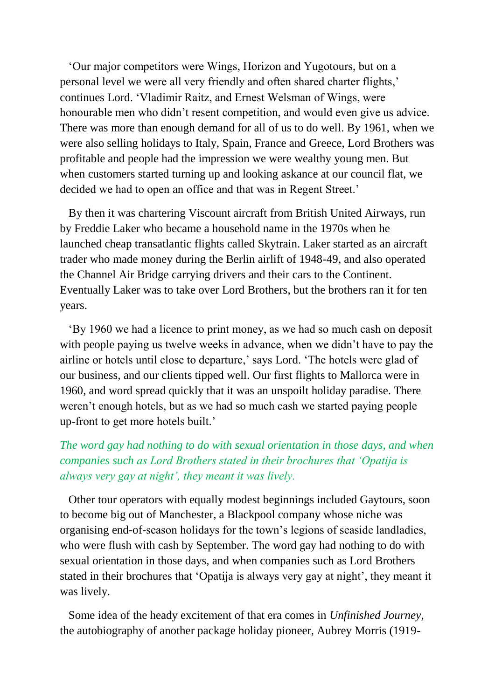'Our major competitors were Wings, Horizon and Yugotours, but on a personal level we were all very friendly and often shared charter flights,' continues Lord. 'Vladimir Raitz, and Ernest Welsman of Wings, were honourable men who didn't resent competition, and would even give us advice. There was more than enough demand for all of us to do well. By 1961, when we were also selling holidays to Italy, Spain, France and Greece, Lord Brothers was profitable and people had the impression we were wealthy young men. But when customers started turning up and looking askance at our council flat, we decided we had to open an office and that was in Regent Street.'

 By then it was chartering Viscount aircraft from British United Airways, run by Freddie Laker who became a household name in the 1970s when he launched cheap transatlantic flights called Skytrain. Laker started as an aircraft trader who made money during the Berlin airlift of 1948-49, and also operated the Channel Air Bridge carrying drivers and their cars to the Continent. Eventually Laker was to take over Lord Brothers, but the brothers ran it for ten years.

 'By 1960 we had a licence to print money, as we had so much cash on deposit with people paying us twelve weeks in advance, when we didn't have to pay the airline or hotels until close to departure,' says Lord. 'The hotels were glad of our business, and our clients tipped well. Our first flights to Mallorca were in 1960, and word spread quickly that it was an unspoilt holiday paradise. There weren't enough hotels, but as we had so much cash we started paying people up-front to get more hotels built.'

### *The word gay had nothing to do with sexual orientation in those days, and when companies such as Lord Brothers stated in their brochures that 'Opatija is always very gay at night', they meant it was lively.*

 Other tour operators with equally modest beginnings included Gaytours, soon to become big out of Manchester, a Blackpool company whose niche was organising end-of-season holidays for the town's legions of seaside landladies, who were flush with cash by September. The word gay had nothing to do with sexual orientation in those days, and when companies such as Lord Brothers stated in their brochures that 'Opatija is always very gay at night', they meant it was lively.

 Some idea of the heady excitement of that era comes in *Unfinished Journey*, the autobiography of another package holiday pioneer, Aubrey Morris (1919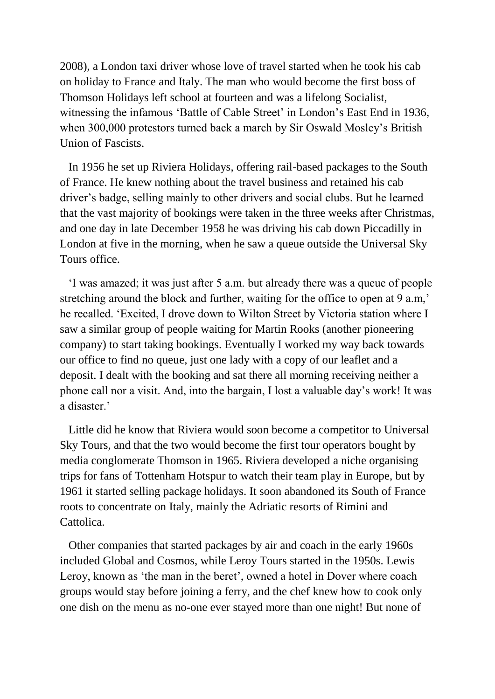2008), a London taxi driver whose love of travel started when he took his cab on holiday to France and Italy. The man who would become the first boss of Thomson Holidays left school at fourteen and was a lifelong Socialist, witnessing the infamous 'Battle of Cable Street' in London's East End in 1936, when 300,000 protestors turned back a march by Sir Oswald Mosley's British Union of Fascists.

 In 1956 he set up Riviera Holidays, offering rail-based packages to the South of France. He knew nothing about the travel business and retained his cab driver's badge, selling mainly to other drivers and social clubs. But he learned that the vast majority of bookings were taken in the three weeks after Christmas, and one day in late December 1958 he was driving his cab down Piccadilly in London at five in the morning, when he saw a queue outside the Universal Sky Tours office.

 'I was amazed; it was just after 5 a.m. but already there was a queue of people stretching around the block and further, waiting for the office to open at 9 a.m,' he recalled. 'Excited, I drove down to Wilton Street by Victoria station where I saw a similar group of people waiting for Martin Rooks (another pioneering company) to start taking bookings. Eventually I worked my way back towards our office to find no queue, just one lady with a copy of our leaflet and a deposit. I dealt with the booking and sat there all morning receiving neither a phone call nor a visit. And, into the bargain, I lost a valuable day's work! It was a disaster.'

 Little did he know that Riviera would soon become a competitor to Universal Sky Tours, and that the two would become the first tour operators bought by media conglomerate Thomson in 1965. Riviera developed a niche organising trips for fans of Tottenham Hotspur to watch their team play in Europe, but by 1961 it started selling package holidays. It soon abandoned its South of France roots to concentrate on Italy, mainly the Adriatic resorts of Rimini and Cattolica.

 Other companies that started packages by air and coach in the early 1960s included Global and Cosmos, while Leroy Tours started in the 1950s. Lewis Leroy, known as 'the man in the beret', owned a hotel in Dover where coach groups would stay before joining a ferry, and the chef knew how to cook only one dish on the menu as no-one ever stayed more than one night! But none of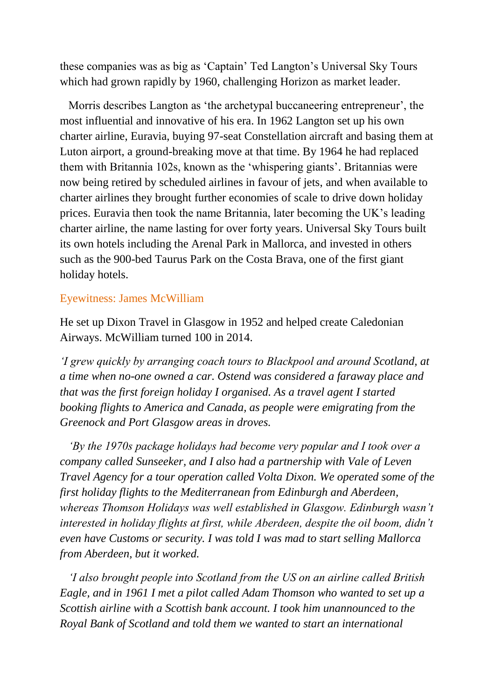these companies was as big as 'Captain' Ted Langton's Universal Sky Tours which had grown rapidly by 1960, challenging Horizon as market leader.

 Morris describes Langton as 'the archetypal buccaneering entrepreneur', the most influential and innovative of his era. In 1962 Langton set up his own charter airline, Euravia, buying 97-seat Constellation aircraft and basing them at Luton airport, a ground-breaking move at that time. By 1964 he had replaced them with Britannia 102s, known as the 'whispering giants'. Britannias were now being retired by scheduled airlines in favour of jets, and when available to charter airlines they brought further economies of scale to drive down holiday prices. Euravia then took the name Britannia, later becoming the UK's leading charter airline, the name lasting for over forty years. Universal Sky Tours built its own hotels including the Arenal Park in Mallorca, and invested in others such as the 900-bed Taurus Park on the Costa Brava, one of the first giant holiday hotels.

#### Eyewitness: James McWilliam

He set up Dixon Travel in Glasgow in 1952 and helped create Caledonian Airways. McWilliam turned 100 in 2014.

*'I grew quickly by arranging coach tours to Blackpool and around Scotland, at a time when no-one owned a car. Ostend was considered a faraway place and that was the first foreign holiday I organised. As a travel agent I started booking flights to America and Canada, as people were emigrating from the Greenock and Port Glasgow areas in droves.*

 *'By the 1970s package holidays had become very popular and I took over a company called Sunseeker, and I also had a partnership with Vale of Leven Travel Agency for a tour operation called Volta Dixon. We operated some of the first holiday flights to the Mediterranean from Edinburgh and Aberdeen, whereas Thomson Holidays was well established in Glasgow. Edinburgh wasn't interested in holiday flights at first, while Aberdeen, despite the oil boom, didn't even have Customs or security. I was told I was mad to start selling Mallorca from Aberdeen, but it worked.*

 *'I also brought people into Scotland from the US on an airline called British Eagle, and in 1961 I met a pilot called Adam Thomson who wanted to set up a Scottish airline with a Scottish bank account. I took him unannounced to the Royal Bank of Scotland and told them we wanted to start an international*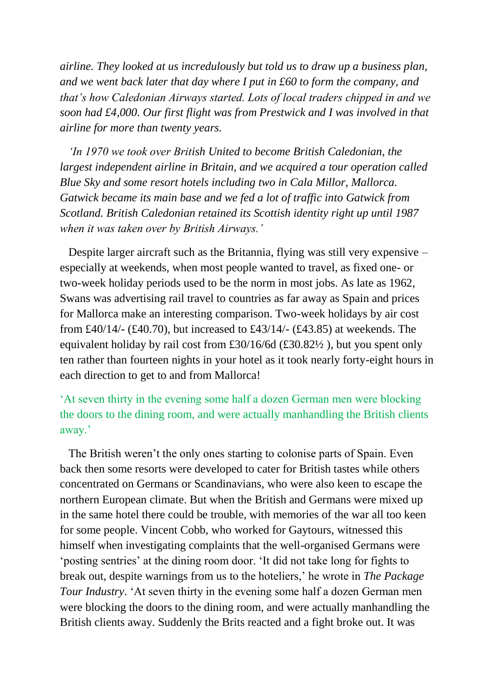*airline. They looked at us incredulously but told us to draw up a business plan, and we went back later that day where I put in £60 to form the company, and that's how Caledonian Airways started. Lots of local traders chipped in and we soon had £4,000. Our first flight was from Prestwick and I was involved in that airline for more than twenty years.*

*In 1970 we took over British United to become British Caledonian, the largest independent airline in Britain, and we acquired a tour operation called Blue Sky and some resort hotels including two in Cala Millor, Mallorca. Gatwick became its main base and we fed a lot of traffic into Gatwick from Scotland. British Caledonian retained its Scottish identity right up until 1987 when it was taken over by British Airways.'*

 Despite larger aircraft such as the Britannia, flying was still very expensive – especially at weekends, when most people wanted to travel, as fixed one- or two-week holiday periods used to be the norm in most jobs. As late as 1962, Swans was advertising rail travel to countries as far away as Spain and prices for Mallorca make an interesting comparison. Two-week holidays by air cost from £40/14/- (£40.70), but increased to £43/14/- (£43.85) at weekends. The equivalent holiday by rail cost from £30/16/6d (£30.82 $\frac{1}{2}$ ), but you spent only ten rather than fourteen nights in your hotel as it took nearly forty-eight hours in each direction to get to and from Mallorca!

## 'At seven thirty in the evening some half a dozen German men were blocking the doors to the dining room, and were actually manhandling the British clients away.'

 The British weren't the only ones starting to colonise parts of Spain. Even back then some resorts were developed to cater for British tastes while others concentrated on Germans or Scandinavians, who were also keen to escape the northern European climate. But when the British and Germans were mixed up in the same hotel there could be trouble, with memories of the war all too keen for some people. Vincent Cobb, who worked for Gaytours, witnessed this himself when investigating complaints that the well-organised Germans were 'posting sentries' at the dining room door. 'It did not take long for fights to break out, despite warnings from us to the hoteliers,' he wrote in *The Package Tour Industry*. 'At seven thirty in the evening some half a dozen German men were blocking the doors to the dining room, and were actually manhandling the British clients away. Suddenly the Brits reacted and a fight broke out. It was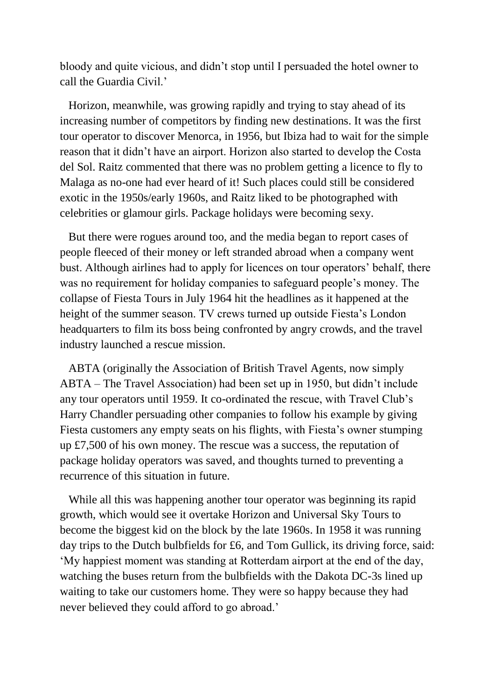bloody and quite vicious, and didn't stop until I persuaded the hotel owner to call the Guardia Civil.'

 Horizon, meanwhile, was growing rapidly and trying to stay ahead of its increasing number of competitors by finding new destinations. It was the first tour operator to discover Menorca, in 1956, but Ibiza had to wait for the simple reason that it didn't have an airport. Horizon also started to develop the Costa del Sol. Raitz commented that there was no problem getting a licence to fly to Malaga as no-one had ever heard of it! Such places could still be considered exotic in the 1950s/early 1960s, and Raitz liked to be photographed with celebrities or glamour girls. Package holidays were becoming sexy.

 But there were rogues around too, and the media began to report cases of people fleeced of their money or left stranded abroad when a company went bust. Although airlines had to apply for licences on tour operators' behalf, there was no requirement for holiday companies to safeguard people's money. The collapse of Fiesta Tours in July 1964 hit the headlines as it happened at the height of the summer season. TV crews turned up outside Fiesta's London headquarters to film its boss being confronted by angry crowds, and the travel industry launched a rescue mission.

 ABTA (originally the Association of British Travel Agents, now simply ABTA – The Travel Association) had been set up in 1950, but didn't include any tour operators until 1959. It co-ordinated the rescue, with Travel Club's Harry Chandler persuading other companies to follow his example by giving Fiesta customers any empty seats on his flights, with Fiesta's owner stumping up £7,500 of his own money. The rescue was a success, the reputation of package holiday operators was saved, and thoughts turned to preventing a recurrence of this situation in future.

 While all this was happening another tour operator was beginning its rapid growth, which would see it overtake Horizon and Universal Sky Tours to become the biggest kid on the block by the late 1960s. In 1958 it was running day trips to the Dutch bulbfields for £6, and Tom Gullick, its driving force, said: 'My happiest moment was standing at Rotterdam airport at the end of the day, watching the buses return from the bulbfields with the Dakota DC-3s lined up waiting to take our customers home. They were so happy because they had never believed they could afford to go abroad.'